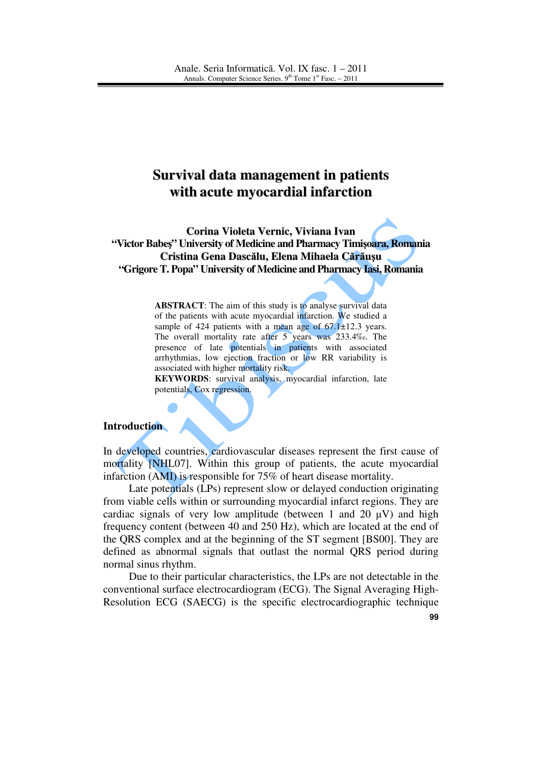# **Survival data management in patients with acute myocardial infarction**

**Corina Violeta Vernic, Viviana Ivan "Victor Babe**ş**" University of Medicine and Pharmacy Timi**ş**oara, Romania Cristina Gena Dasc**ă**lu, Elena Mihaela C**ă**r**ă**u**ş**u "Grigore T. Popa" University of Medicine and Pharmacy Iasi, Romania**

> **ABSTRACT**: The aim of this study is to analyse survival data of the patients with acute myocardial infarction. We studied a sample of 424 patients with a mean age of 67.1±12.3 years. The overall mortality rate after 5 years was 233.4‰. The presence of late potentials in patients with associated arrhythmias, low ejection fraction or low RR variability is associated with higher mortality risk.

> **KEYWORDS**: survival analysis, myocardial infarction, late potentials, Cox regression.

#### **Introduction**

In developed countries, cardiovascular diseases represent the first cause of mortality [NHL07]. Within this group of patients, the acute myocardial infarction (AMI) is responsible for 75% of heart disease mortality.

Late potentials (LPs) represent slow or delayed conduction originating from viable cells within or surrounding myocardial infarct regions. They are cardiac signals of very low amplitude (between 1 and 20  $\mu$ V) and high frequency content (between 40 and 250 Hz), which are located at the end of the QRS complex and at the beginning of the ST segment [BS00]. They are defined as abnormal signals that outlast the normal QRS period during normal sinus rhythm.

Due to their particular characteristics, the LPs are not detectable in the conventional surface electrocardiogram (ECG). The Signal Averaging High-Resolution ECG (SAECG) is the specific electrocardiographic technique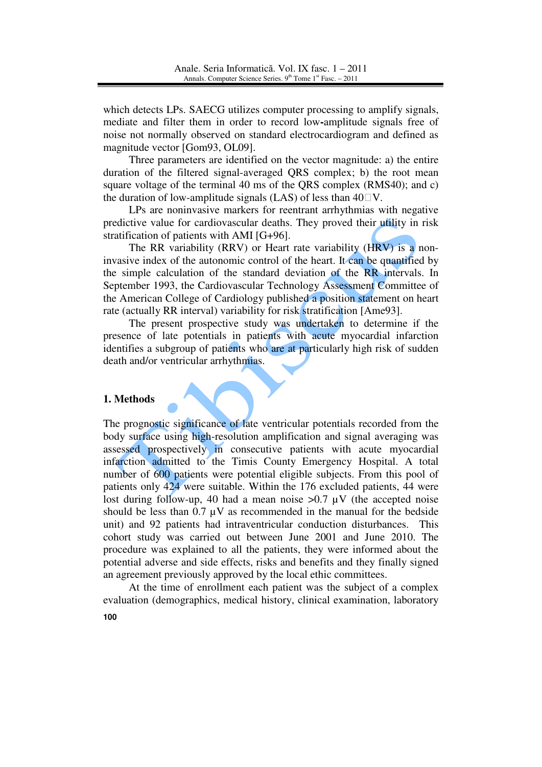which detects LPs. SAECG utilizes computer processing to amplify signals, mediate and filter them in order to record low**-**amplitude signals free of noise not normally observed on standard electrocardiogram and defined as magnitude vector [Gom93, OL09].

Three parameters are identified on the vector magnitude: a) the entire duration of the filtered signal-averaged QRS complex; b) the root mean square voltage of the terminal 40 ms of the QRS complex (RMS40); and c) the duration of low-amplitude signals (LAS) of less than  $40\degree\text{V}$ .

LPs are noninvasive markers for reentrant arrhythmias with negative predictive value for cardiovascular deaths. They proved their utility in risk stratification of patients with AMI [G+96].

The RR variability (RRV) or Heart rate variability (HRV) is a noninvasive index of the autonomic control of the heart. It can be quantified by the simple calculation of the standard deviation of the RR intervals. In September 1993, the Cardiovascular Technology Assessment Committee of the American College of Cardiology published a position statement on heart rate (actually RR interval) variability for risk stratification [Ame93].

The present prospective study was undertaken to determine if the presence of late potentials in patients with acute myocardial infarction identifies a subgroup of patients who are at particularly high risk of sudden death and/or ventricular arrhythmias.

### **1. Methods**

The prognostic significance of late ventricular potentials recorded from the body surface using high-resolution amplification and signal averaging was assessed prospectively in consecutive patients with acute myocardial infarction admitted to the Timis County Emergency Hospital. A total number of 600 patients were potential eligible subjects. From this pool of patients only 424 were suitable. Within the 176 excluded patients, 44 were lost during follow-up, 40 had a mean noise  $>0.7 \mu V$  (the accepted noise should be less than  $0.7 \mu V$  as recommended in the manual for the bedside unit) and 92 patients had intraventricular conduction disturbances. This cohort study was carried out between June 2001 and June 2010. The procedure was explained to all the patients, they were informed about the potential adverse and side effects, risks and benefits and they finally signed an agreement previously approved by the local ethic committees.

 At the time of enrollment each patient was the subject of a complex evaluation (demographics, medical history, clinical examination, laboratory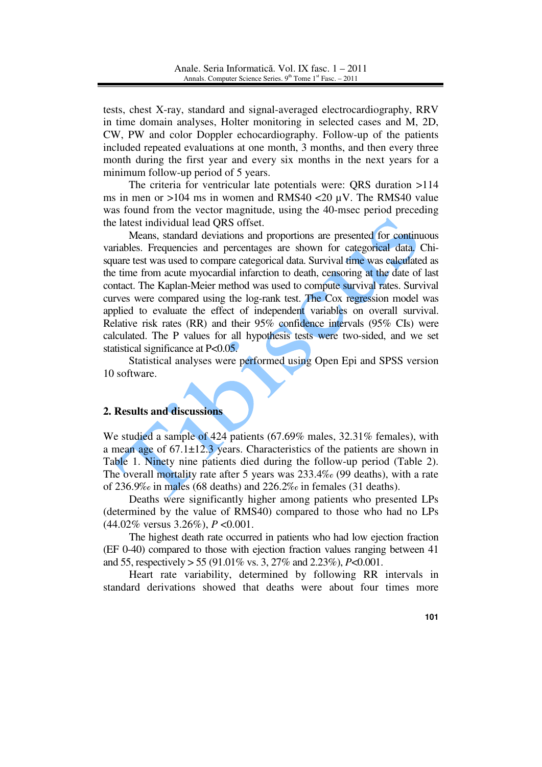tests, chest X-ray, standard and signal-averaged electrocardiography, RRV in time domain analyses, Holter monitoring in selected cases and M, 2D, CW, PW and color Doppler echocardiography. Follow-up of the patients included repeated evaluations at one month, 3 months, and then every three month during the first year and every six months in the next years for a minimum follow-up period of 5 years.

 The criteria for ventricular late potentials were: QRS duration >114 ms in men or >104 ms in women and RMS40 <20 µV. The RMS40 value was found from the vector magnitude, using the 40-msec period preceding the latest individual lead QRS offset.

 Means, standard deviations and proportions are presented for continuous variables. Frequencies and percentages are shown for categorical data. Chisquare test was used to compare categorical data. Survival time was calculated as the time from acute myocardial infarction to death, censoring at the date of last contact. The Kaplan-Meier method was used to compute survival rates. Survival curves were compared using the log-rank test. The Cox regression model was applied to evaluate the effect of independent variables on overall survival. Relative risk rates (RR) and their 95% confidence intervals (95% CIs) were calculated. The P values for all hypothesis tests were two-sided, and we set statistical significance at P<0.05.

 Statistical analyses were performed using Open Epi and SPSS version 10 software.

# **2. Results and discussions**

We studied a sample of 424 patients (67.69% males, 32.31% females), with a mean age of  $67.1 \pm 12.3$  years. Characteristics of the patients are shown in Table 1. Ninety nine patients died during the follow-up period (Table 2). The overall mortality rate after 5 years was 233.4‰ (99 deaths), with a rate of 236.9‰ in males (68 deaths) and 226.2‰ in females (31 deaths).

Deaths were significantly higher among patients who presented LPs (determined by the value of RMS40) compared to those who had no LPs (44.02% versus 3.26%), *P* <0.001.

The highest death rate occurred in patients who had low ejection fraction (EF 0-40) compared to those with ejection fraction values ranging between 41 and 55, respectively > 55 (91.01% vs. 3, 27% and 2.23%), *P*<0.001.

Heart rate variability, determined by following RR intervals in standard derivations showed that deaths were about four times more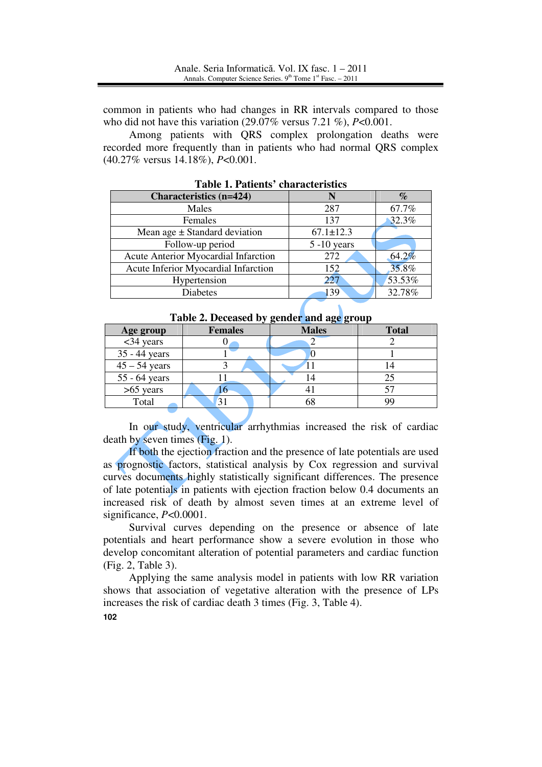common in patients who had changes in RR intervals compared to those who did not have this variation (29.07% versus 7.21 %), *P*<0.001.

Among patients with QRS complex prolongation deaths were recorded more frequently than in patients who had normal QRS complex (40.27% versus 14.18%), *P*<0.001.

| <b>Characteristics (n=424)</b>       |                 | $\%$   |
|--------------------------------------|-----------------|--------|
| Males                                | 287             | 67.7%  |
| Females                              | 137             | 32.3%  |
| Mean age $\pm$ Standard deviation    | $67.1 \pm 12.3$ |        |
| Follow-up period                     | $5 - 10$ years  |        |
| Acute Anterior Myocardial Infarction | 272             | 64.2%  |
| Acute Inferior Myocardial Infarction | 152             | 35.8%  |
| Hypertension                         | 227             | 53.53% |
| <b>Diabetes</b>                      | 139             | 32.78% |

**Table 1. Patients' characteristics** 

| $\frac{1}{2}$ and $\frac{1}{2}$ . The second case $\frac{1}{2}$<br>- <del>5-</del> 5- - - 1 |                |              |              |  |  |
|---------------------------------------------------------------------------------------------|----------------|--------------|--------------|--|--|
| Age group                                                                                   | <b>Females</b> | <b>Males</b> | <b>Total</b> |  |  |
| $<$ 34 years                                                                                |                |              |              |  |  |
| 35 - 44 years                                                                               |                |              |              |  |  |
| $45 - 54$ years                                                                             |                |              |              |  |  |
| $55 - 64$ years                                                                             |                |              | 25           |  |  |
| $>65$ years                                                                                 | 10             |              |              |  |  |
| Total                                                                                       | 31             | 68           | QQ           |  |  |

**Table 2. Deceased by gender and age group** 

In our study, ventricular arrhythmias increased the risk of cardiac death by seven times (Fig. 1).

If both the ejection fraction and the presence of late potentials are used as prognostic factors, statistical analysis by Cox regression and survival curves documents highly statistically significant differences. The presence of late potentials in patients with ejection fraction below 0.4 documents an increased risk of death by almost seven times at an extreme level of significance, *P*<0.0001.

Survival curves depending on the presence or absence of late potentials and heart performance show a severe evolution in those who develop concomitant alteration of potential parameters and cardiac function (Fig. 2, Table 3).

Applying the same analysis model in patients with low RR variation shows that association of vegetative alteration with the presence of LPs increases the risk of cardiac death 3 times (Fig. 3, Table 4).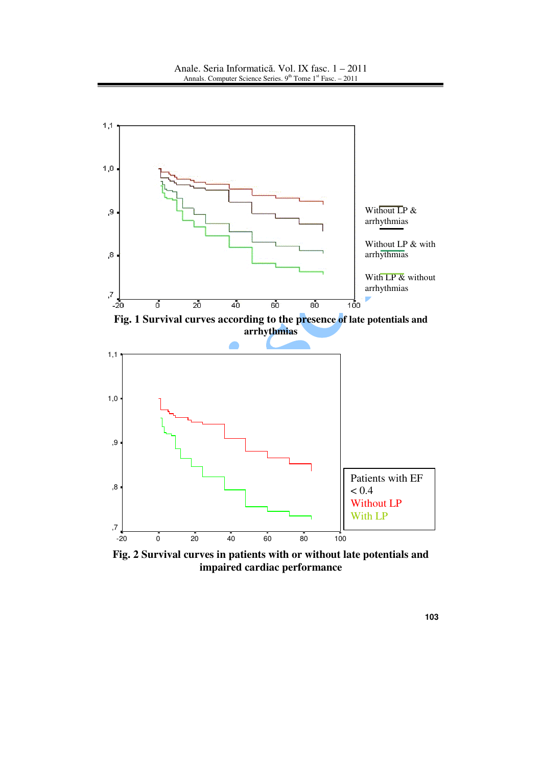

**Fig. 2 Survival curves in patients with or without late potentials and impaired cardiac performance**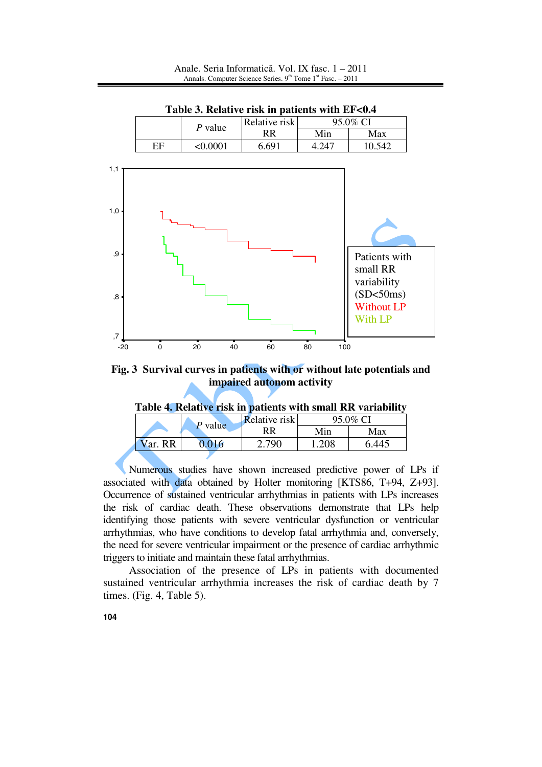

**Table 3. Relative risk in patients with EF<0.4** 

**Fig. 3 Survival curves in patients with or without late potentials and impaired autonom activity** 

**Table 4. Relative risk in patients with small RR variability** 

|  | Table 4. Relative FISK III patients with small KR variability |         |                      |          |       |  |
|--|---------------------------------------------------------------|---------|----------------------|----------|-------|--|
|  |                                                               | P value | <b>Relative risk</b> | 95.0% CI |       |  |
|  |                                                               |         | RR                   | Min      | Max   |  |
|  | Var. RR                                                       | 0.016   | 2.790.               | 1.208    | 6.445 |  |
|  |                                                               |         |                      |          |       |  |

Numerous studies have shown increased predictive power of LPs if associated with data obtained by Holter monitoring [KTS86, T+94, Z+93]. Occurrence of sustained ventricular arrhythmias in patients with LPs increases the risk of cardiac death. These observations demonstrate that LPs help identifying those patients with severe ventricular dysfunction or ventricular arrhythmias, who have conditions to develop fatal arrhythmia and, conversely, the need for severe ventricular impairment or the presence of cardiac arrhythmic triggers to initiate and maintain these fatal arrhythmias.

 Association of the presence of LPs in patients with documented sustained ventricular arrhythmia increases the risk of cardiac death by 7 times. (Fig. 4, Table 5).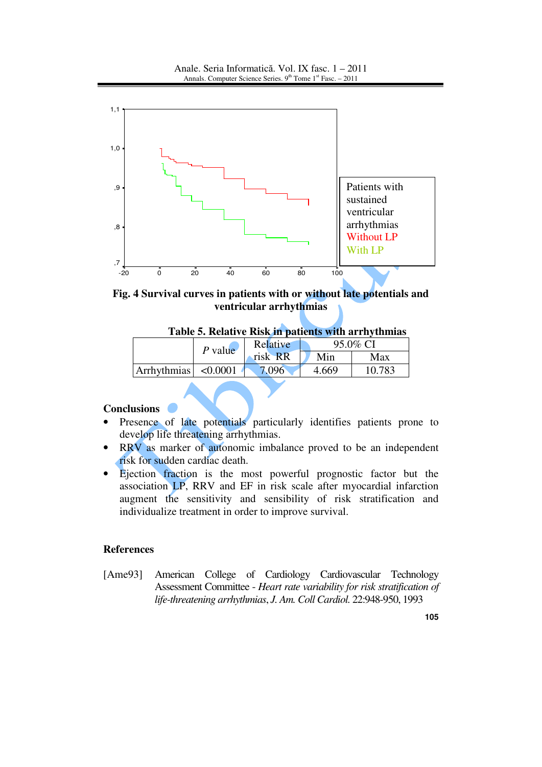

**Fig. 4 Survival curves in patients with or without late potentials and ventricular arrhythmias** 

|             | $P$ value | Relative | 95.0% CI |        |
|-------------|-----------|----------|----------|--------|
|             |           | risk RR  | Min      | Max    |
| Arrhythmias | < 0.0001  | 7 096    | 4.669    | 10.783 |

# **Conclusions**

- Presence of late potentials particularly identifies patients prone to develop life threatening arrhythmias.
- RRV as marker of autonomic imbalance proved to be an independent risk for sudden cardiac death.
- Ejection fraction is the most powerful prognostic factor but the association LP, RRV and EF in risk scale after myocardial infarction augment the sensitivity and sensibility of risk stratification and individualize treatment in order to improve survival.

#### **References**

[Ame93] American College of Cardiology Cardiovascular Technology Assessment Committee - *Heart rate variability for risk stratification of life-threatening arrhythmias*, *J. Am. Coll Cardiol.* 22:948-950, 1993